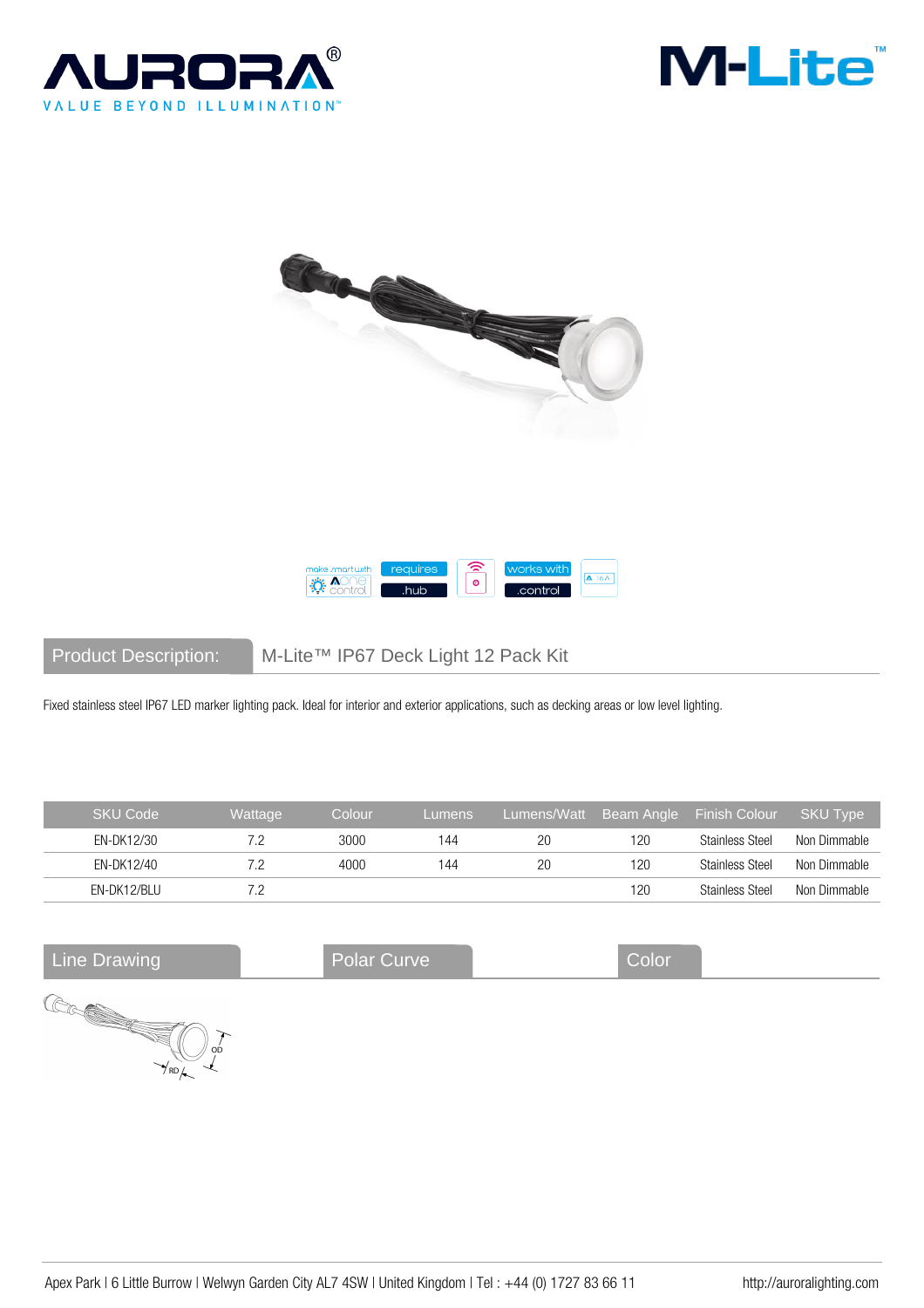







Product Description: M-Lite™ IP67 Deck Light 12 Pack Kit

Fixed stainless steel IP67 LED marker lighting pack. Ideal for interior and exterior applications, such as decking areas or low level lighting.

| <b>SKU Code</b> | Wattage | Colour | Lumens | Lumens/Watt | Beam Angle | <b>Finish Colour</b> | <b>SKU Type</b> |
|-----------------|---------|--------|--------|-------------|------------|----------------------|-----------------|
| EN-DK12/30      |         | 3000   | 144    | 20          | 120        | Stainless Steel      | Non Dimmable    |
| EN-DK12/40      |         | 4000   | 144    | 20          | 120        | Stainless Steel      | Non Dimmable    |
| EN-DK12/BLU     |         |        |        |             | 120        | Stainless Steel      | Non Dimmable    |